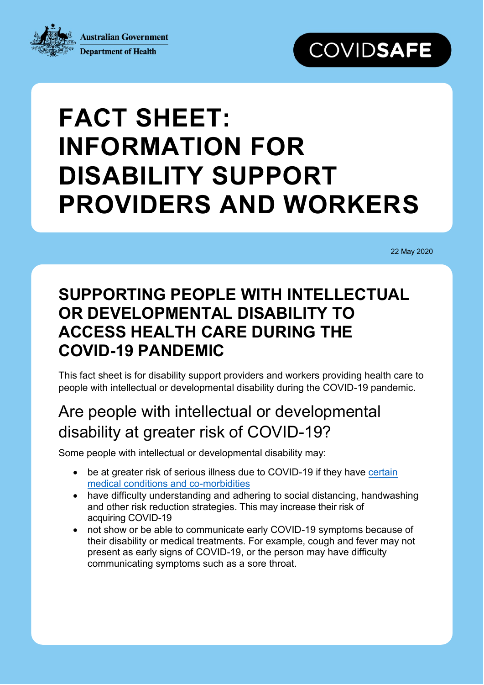**Australian Government Department of Health** 



# **FACT SHEET: INFORMATION FOR DISABILITY SUPPORT PROVIDERS AND WORKERS**

22 May 2020

# **SUPPORTING PEOPLE WITH INTELLECTUAL OR DEVELOPMENTAL DISABILITY TO ACCESS HEALTH CARE DURING THE COVID-19 PANDEMIC**

This fact sheet is for disability support providers and workers providing health care to people with intellectual or developmental disability during the COVID-19 pandemic.

#### Are people with intellectual or developmental disability at greater risk of COVID-19?

Some people with intellectual or developmental disability may:

- be at greater risk of serious illness due to COVID-19 if they have certain [medical conditions and co-morbidities](https://www.health.gov.au/news/health-alerts/novel-coronavirus-2019-ncov-health-alert/advice-for-people-at-risk-of-coronavirus-covid-19)
- have difficulty understanding and adhering to social distancing, handwashing and other risk reduction strategies. This may increase their risk of acquiring COVID-19
- not show or be able to communicate early COVID-19 symptoms because of their disability or medical treatments. For example, cough and fever may not present as early signs of COVID-19, or the person may have difficulty communicating symptoms such as a sore throat.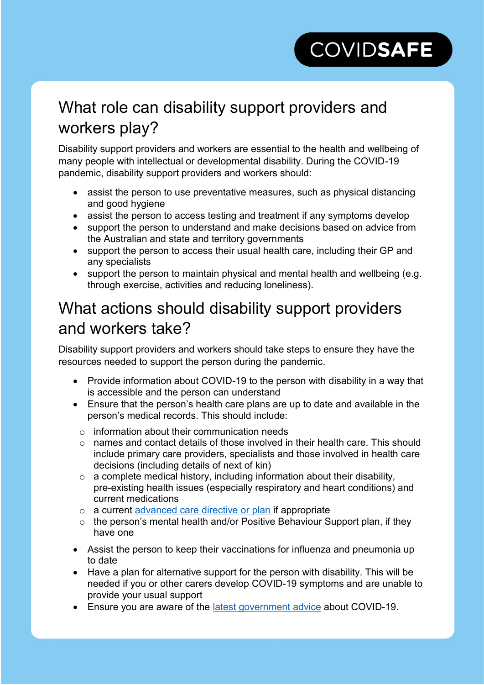# **COVIDSAFE**

# What role can disability support providers and workers play?

Disability support providers and workers are essential to the health and wellbeing of many people with intellectual or developmental disability. During the COVID-19 pandemic, disability support providers and workers should:

- assist the person to use preventative measures, such as physical distancing and good hygiene
- assist the person to access testing and treatment if any symptoms develop
- support the person to understand and make decisions based on advice from the Australian and state and territory governments
- support the person to access their usual health care, including their GP and any specialists
- support the person to maintain physical and mental health and wellbeing (e.g. through exercise, activities and reducing loneliness).

#### What actions should disability support providers and workers take?

Disability support providers and workers should take steps to ensure they have the resources needed to support the person during the pandemic.

- Provide information about COVID-19 to the person with disability in a way that is accessible and the person can understand
- Ensure that the person's health care plans are up to date and available in the person's medical records. This should include:
	- $\circ$  information about their communication needs
	- $\circ$  names and contact details of those involved in their health care. This should include primary care providers, specialists and those involved in health care decisions (including details of next of kin)
	- $\circ$  a complete medical history, including information about their disability, pre-existing health issues (especially respiratory and heart conditions) and current medications
	- o a current [advanced care directive or plan](https://www.advancecareplanning.org.au/#/) if appropriate
	- o the person's mental health and/or Positive Behaviour Support plan, if they have one
- Assist the person to keep their vaccinations for influenza and pneumonia up to date
- Have a plan for alternative support for the person with disability. This will be needed if you or other carers develop COVID-19 symptoms and are unable to provide your usual support
- Ensure you are aware of the [latest government advice](https://www.australia.gov.au/) about COVID-19.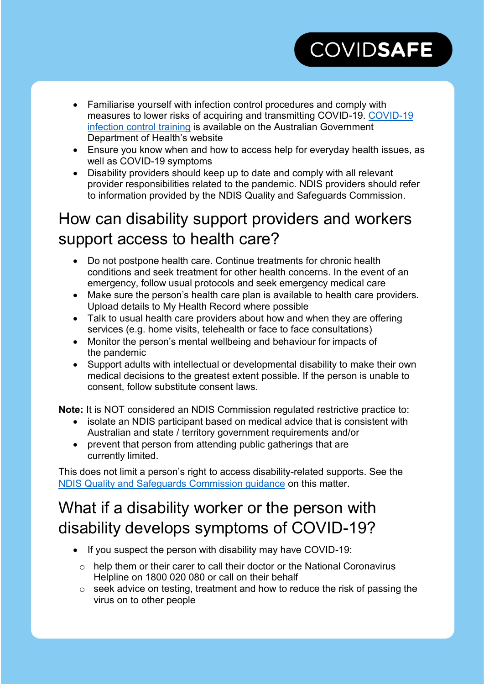# **COVIDSAFE**

- Familiarise yourself with infection control procedures and comply with measures to lower risks of acquiring and transmitting COVID-19. [COVID-19](https://www.health.gov.au/resources/apps-and-tools/covid-19-infection-control-training)  [infection control training](https://www.health.gov.au/resources/apps-and-tools/covid-19-infection-control-training) is available on the Australian Government Department of Health's website
- Ensure you know when and how to access help for everyday health issues, as well as COVID-19 symptoms
- Disability providers should keep up to date and comply with all relevant provider responsibilities related to the pandemic. NDIS providers should refer to information provided by the [NDIS Quality and Safeguards Commission.](https://www.ndiscommission.gov.au/news-media/provider-newsletters#alerts)

## How can disability support providers and workers support access to health care?

- Do not postpone health care. Continue treatments for chronic health conditions and seek treatment for other health concerns. In the event of an emergency, follow usual protocols and seek emergency medical care
- Make sure the person's health care plan is available to health care providers. Upload details to My Health Record where possible
- Talk to usual health care providers about how and when they are offering services (e.g. home visits, telehealth or face to face consultations)
- Monitor the person's mental wellbeing and behaviour for impacts of the pandemic
- Support adults with intellectual or developmental disability to make their own medical decisions to the greatest extent possible. If the person is unable to consent, follow substitute consent laws.

**Note:** It is NOT considered an NDIS Commission regulated restrictive practice to:

- isolate an NDIS participant based on medical advice that is consistent with Australian and state / territory government requirements and/or
- prevent that person from attending public gatherings that are currently limited.

This does not limit a person's right to access disability-related supports. See the [NDIS Quality and Safeguards Commission guidance](https://www.ndiscommission.gov.au/sites/default/files/documents/2020-03/fact-sheet-covid-19-behaviour-support-and-restrictive-practices.pdf) on this matter.

# What if a disability worker or the person with disability develops symptoms of COVID-19?

- If you suspect the person with disability may have COVID-19:
	- $\circ$  help them or their carer to call their doctor or the National Coronavirus Helpline on 1800 020 080 or call on their behalf
	- o seek advice on testing, treatment and how to reduce the risk of passing the virus on to other people